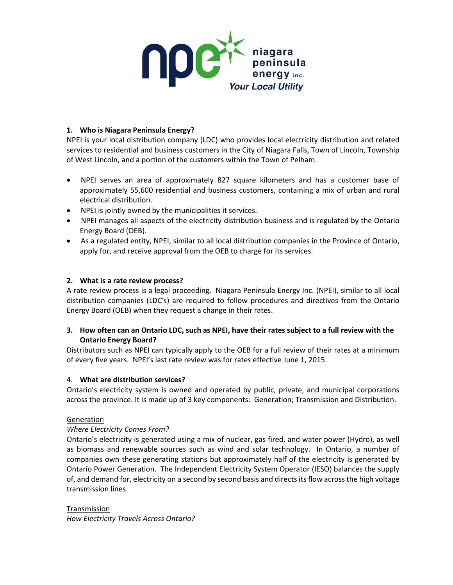

# **1. Who is Niagara Peninsula Energy?**

NPEI is your local distribution company (LDC) who provides local electricity distribution and related services to residential and business customers in the City of Niagara Falls, Town of Lincoln, Township of West Lincoln, and a portion of the customers within the Town of Pelham.

- NPEI serves an area of approximately 827 square kilometers and has a customer base of approximately 55,600 residential and business customers, containing a mix of urban and rural electrical distribution.
- NPEI is jointly owned by the municipalities it services.
- NPEI manages all aspects of the electricity distribution business and is regulated by the Ontario Energy Board (OEB).
- As a regulated entity, NPEI, similar to all local distribution companies in the Province of Ontario, apply for, and receive approval from the OEB to charge for its services.

## **2. What is a rate review process?**

A rate review process is a legal proceeding. Niagara Peninsula Energy Inc. (NPEI), similar to all local distribution companies (LDC's) are required to follow procedures and directives from the Ontario Energy Board (OEB) when they request a change in their rates.

# **3. How often can an Ontario LDC, such as NPEI, have their rates subject to a full review with the Ontario Energy Board?**

Distributors such as NPEI can typically apply to the OEB for a full review of their rates at a minimum of every five years. NPEI's last rate review was for rates effective June 1, 2015.

## 4. **What are distribution services?**

Ontario's electricity system is owned and operated by public, private, and municipal corporations across the province. It is made up of 3 key components: Generation; Transmission and Distribution.

## **Generation**

## *Where Electricity Comes From?*

Ontario's electricity is generated using a mix of nuclear, gas fired, and water power (Hydro), as well as biomass and renewable sources such as wind and solar technology. In Ontario, a number of companies own these generating stations but approximately half of the electricity is generated by Ontario Power Generation. The Independent Electricity System Operator (IESO) balances the supply of, and demand for, electricity on a second by second basis and directs its flow across the high voltage transmission lines.

Transmission *How Electricity Travels Across Ontario?*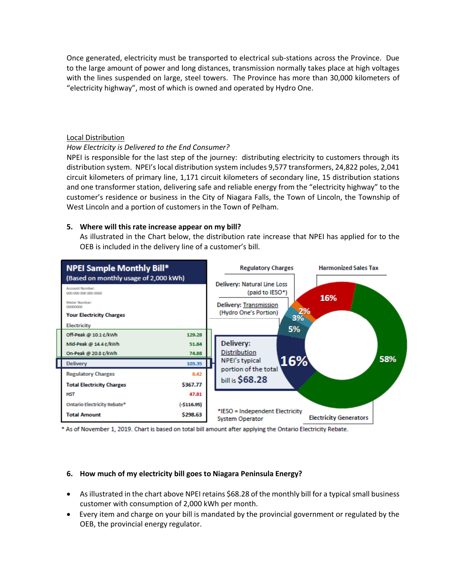Once generated, electricity must be transported to electrical sub-stations across the Province. Due to the large amount of power and long distances, transmission normally takes place at high voltages with the lines suspended on large, steel towers. The Province has more than 30,000 kilometers of "electricity highway", most of which is owned and operated by Hydro One.

#### Local Distribution

#### *How Electricity is Delivered to the End Consumer?*

NPEI is responsible for the last step of the journey: distributing electricity to customers through its distribution system. NPEI's local distribution system includes 9,577 transformers, 24,822 poles, 2,041 circuit kilometers of primary line, 1,171 circuit kilometers of secondary line, 15 distribution stations and one transformer station, delivering safe and reliable energy from the "electricity highway" to the customer's residence or business in the City of Niagara Falls, the Town of Lincoln, the Township of West Lincoln and a portion of customers in the Town of Pelham.

## **5. Where will this rate increase appear on my bill?**

As illustrated in the Chart below, the distribution rate increase that NPEI has applied for to the OEB is included in the delivery line of a customer's bill.



\* As of November 1, 2019. Chart is based on total bill amount after applying the Ontario Electricity Rebate.

## **6. How much of my electricity bill goes to Niagara Peninsula Energy?**

- As illustrated in the chart above NPEI retains \$68.28 of the monthly bill for a typical small business customer with consumption of 2,000 kWh per month.
- Every item and charge on your bill is mandated by the provincial government or regulated by the OEB, the provincial energy regulator.